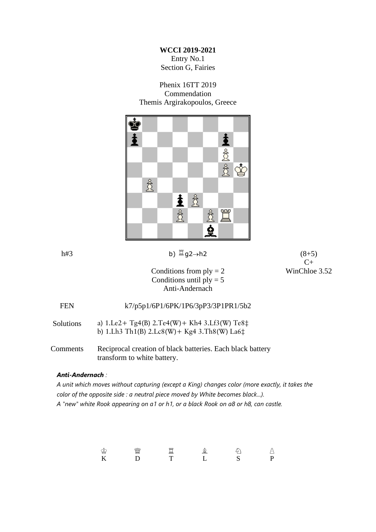#### **WCCI 2019-2021**

Entry No.1 Section G, Fairies

#### Phenix 16TT 2019 Commendation Themis Argirakopoulos, Greece



### h#3 b)  $\Box$ g2→h2 (8+5)

 $C+$ 

Conditions from  $ply = 2$  WinChloe 3.52 Conditions until  $ply = 5$ Anti-Andernach

| <b>FEN</b>       | k7/p5p1/6P1/6PK/1P6/3pP3/3P1PR1/5b2                                                                                  |
|------------------|----------------------------------------------------------------------------------------------------------------------|
| <b>Solutions</b> | a) $1. Le2+ Tg4(B) 2. Te4(W) + Kh4 3. Lf3(W) Te8\ddagger$<br>b) 1.Lh3 Th1(B) $2. Lc8(W) + Kg4 3. Th8(W) La6\ddagger$ |
| Comments         | Reciprocal creation of black batteries. Each black battery<br>transform to white battery.                            |

#### *Anti-Andernach :*

*A unit which moves without capturing (except a King) changes color (more exactly, it takes the color of the opposite side : a neutral piece moved by White becomes black...). A "new" white Rook appearing on a1 or h1, or a black Rook on a8 or h8, can castle.*

> K D T L S P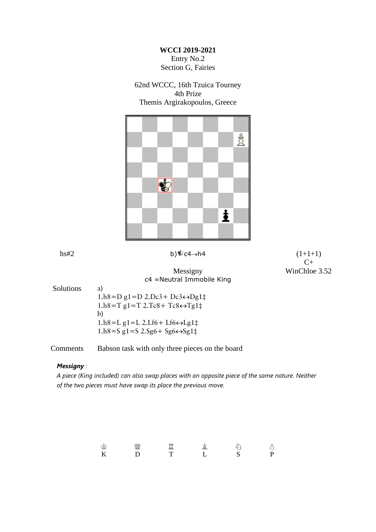#### **WCCI 2019-2021** Entry No.2 Section G, Fairies

62nd WCCC, 16th Tzuica Tourney 4th Prize Themis Argirakopoulos, Greece



hs#2 b) $\sqrt{c^4}$ -c4→h4 (1+1+1)  $C+$ 

#### Messigny WinChloe 3.52 c4 =Neutral Immobile King

Solutions a)

 $1.h8=D g1=D 2.Dc3+Dc3 \leftrightarrow Dg1\ddagger$  $1.h8 = T g1 = T 2.Tc8 + Tc8 \leftrightarrow Tg1\ddagger$ b)  $1.h8=L$  g1=L 2.Lf6+ Lf6 $\leftrightarrow$ Lg1 $\ddagger$  $1.h8=$ S g $1=$ S  $2.Sg6+ Sg6 \leftrightarrow Sg1\ddagger$ 

#### Comments Babson task with only three pieces on the board

#### *Messigny :*

*A piece (King included) can also swap places with an opposite piece of the same nature. Neither of the two pieces must have swap its place the previous move.*

 K D T L S P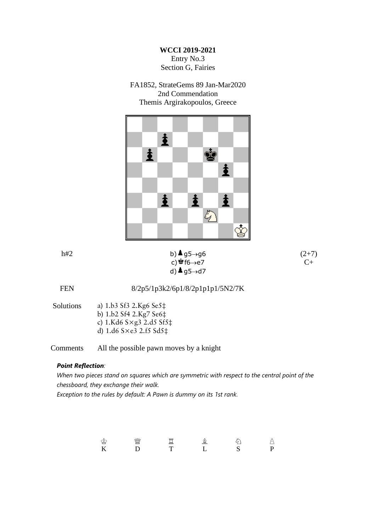**WCCI 2019-2021** Entry No.3 Section G, Fairies

FA1852, StrateGems 89 Jan-Mar2020 2nd Commendation Themis Argirakopoulos, Greece



#### h#2 b) $\triangle$ g5 $\rightarrow$ g6 (2+7) c) $\stackrel{\triangle}{=}$ f6→e7 C+ d) $\triangle$  g5 $\rightarrow$ d7

FEN 8/2p5/1p3k2/6p1/8/2p1p1p1/5N2/7K

Solutions a) 1.b3 Sf3 2.Kg6 Se5‡ b) 1.b2 Sf4 2.Kg7 Se6‡ c) 1.Kd6 S×g3 2.d5 Sf5‡

d) 1.d6 S×e3 2.f5 Sd5‡

Comments All the possible pawn moves by a knight

#### *Point Reflection:*

*When two pieces stand on squares which are symmetric with respect to the central point of the chessboard, they exchange their walk. Exception to the rules by default: A Pawn is dummy on its 1st rank.*

> - 솔루스 - 스마스 - 스마스 - 스마스 - 스마스 - 스마스 - 스마스 - 스마스 - 스마스 - 스마스 - 스마스 - 스마스 - 스마스 - 스마스 - 스마스 - 스마스 - 스마 K D T L S P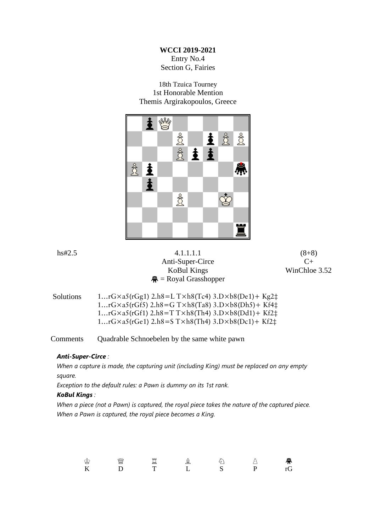#### **WCCI 2019-2021** Entry No.4 Section G, Fairies

18th Tzuica Tourney 1st Honorable Mention Themis Argirakopoulos, Greece



|        | <u>کے</u><br>ж. |         |                               | 77 Y I |               |
|--------|-----------------|---------|-------------------------------|--------|---------------|
|        |                 |         |                               |        |               |
|        |                 | $\circ$ |                               |        |               |
|        |                 |         |                               |        |               |
|        |                 |         |                               | 冒      |               |
|        |                 |         |                               |        |               |
| hs#2.5 |                 |         | 4.1.1.1.1<br>Anti-Super-Circe |        | $(8+8)$<br>C+ |

 $\bigcirc$  = Royal Grasshopper

# KoBul Kings WinChloe 3.52

| <b>Solutions</b> | 1rG $\times$ a5(rGg1) 2.h8=L T $\times$ h8(Tc4) 3.D $\times$ b8(De1)+ Kg2 $\ddagger$  |
|------------------|---------------------------------------------------------------------------------------|
|                  | $1rG \times a5(rGf5)$ 2.h8=G T $\times h8(Ta8)$ 3.D $\times b8(Dh5)$ + Kf4 $\ddagger$ |
|                  | 1rG $\times$ a5(rGf1) 2.h8=T T $\times$ h8(Th4) 3.D $\times$ b8(Dd1)+ Kf2 $\ddagger$  |
|                  | 1rG $\times$ a5(rGe1) 2.h8=ST $\times$ h8(Th4) 3.D $\times$ b8(Dc1)+ Kf2 $\ddagger$   |

Comments Quadrable Schnoebelen by the same white pawn

#### *Anti-Super-Circe :*

*When a capture is made, the capturing unit (including King) must be replaced on any empty square.*

*Exception to the default rules: a Pawn is dummy on its 1st rank.*

#### *KoBul Kings :*

*When a piece (not a Pawn) is captured, the royal piece takes the nature of the captured piece. When a Pawn is captured, the royal piece becomes a King.*

| - 5<br>₩ | ¥ | <b>DOM:</b> |  | 景  |
|----------|---|-------------|--|----|
| K        |   |             |  | rG |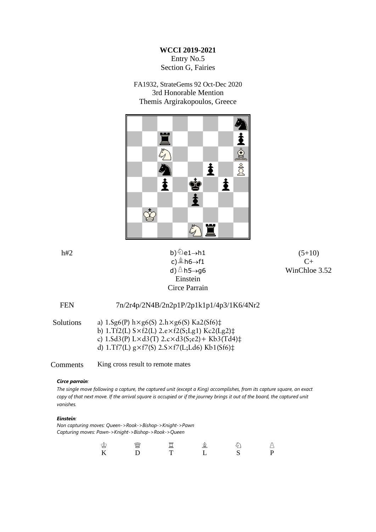**WCCI 2019-2021** Entry No.5 Section G, Fairies

FA1932, StrateGems 92 Oct-Dec 2020 3rd Honorable Mention Themis Argirakopoulos, Greece



# c) $\triangle$ h6→f1 C+ Einstein Circe Parrain

h#2 b) $\textcircled{2}e1\rightarrow h1$  (5+10) d) $\triangle$ h5→g6 WinChloe 3.52

## FEN 7n/2r4p/2N4B/2n2p1P/2p1k1p1/4p3/1K6/4Nr2

| <b>Solutions</b> | a) $1.5g6(P)$ h×g6(S) $2.h \times g6(S)$ Ka2(Sf6) $\ddagger$             |
|------------------|--------------------------------------------------------------------------|
|                  | b) 1.Tf2(L) $S \times f2(L)$ 2.e $\times f2(S; Lg1)$ Kc2(Lg2) $\ddagger$ |
|                  | c) $1.5d3(P)$ $L \times d3(T)$ $2.c \times d3(S; e2) + Kb3(Td4)$         |
|                  | d) 1.Tf7(L) $g \times f7(S)$ 2.S $\times f7(L; Ld6)$ Kb1(Sf6) $\ddagger$ |
|                  |                                                                          |

Comments King cross result to remote mates

#### *Circe parrain:*

*The single move following a capture, the captured unit (except a King) accomplishes, from its capture square, an exact*  copy of that next move. If the arrival square is occupied or if the journey brings it out of the board, the captured unit *vanishes.*

#### *Einstein:*

*Non capturing moves: Queen->Rook->Bishop->Knight->Pawn Capturing moves: Pawn->Knight->Bishop->Rook->Queen*

| ∼<br>₩ | $-9880$<br>ww.<br>⋚ | p.n.g<br>$-$ | 基 |  |
|--------|---------------------|--------------|---|--|
| K      |                     |              |   |  |